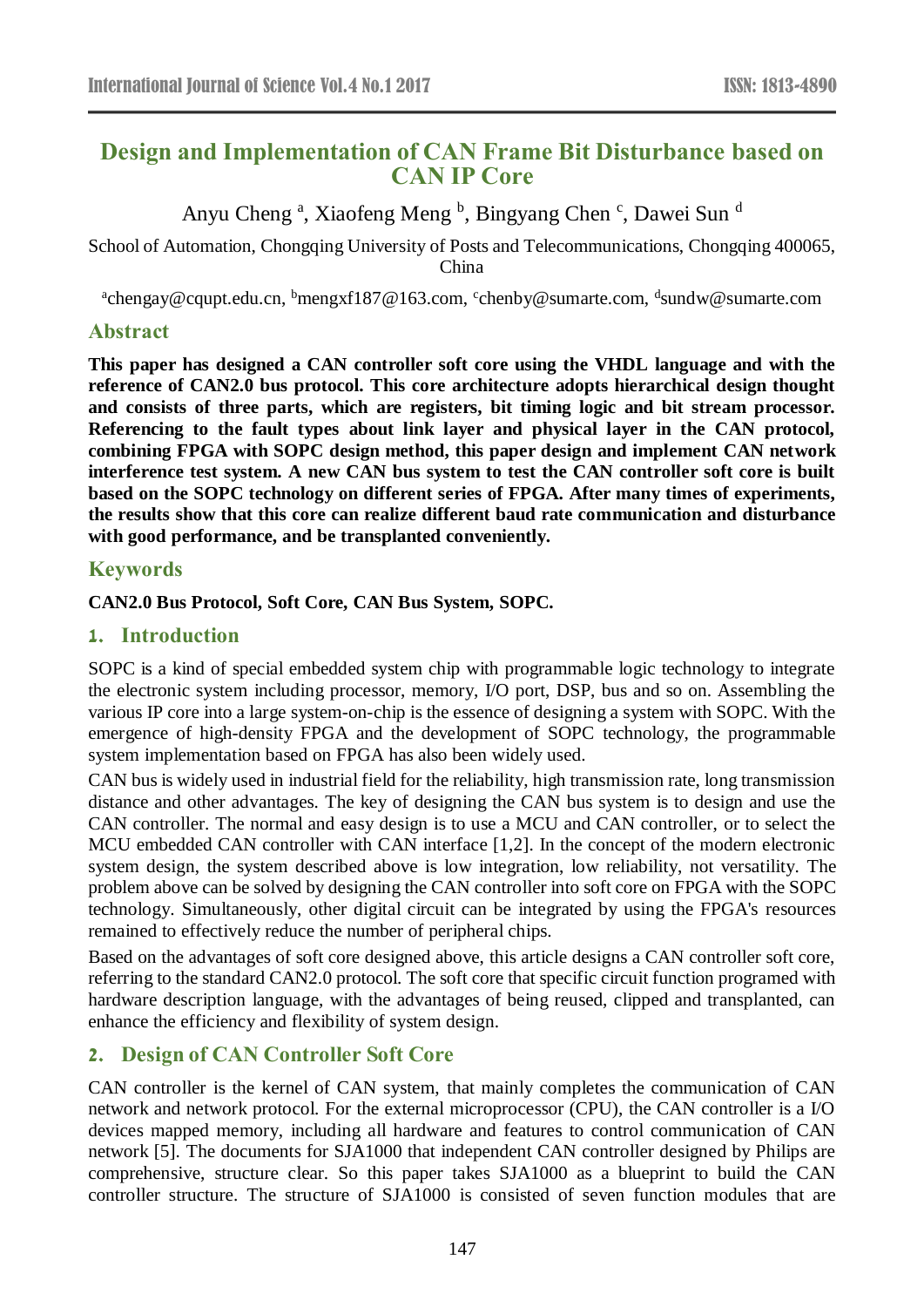# **Design and Implementation of CAN Frame Bit Disturbance based on CAN IP Core**

# Anyu Cheng<sup>a</sup>, Xiaofeng Meng<sup>b</sup>, Bingyang Chen<sup>c</sup>, Dawei Sun<sup>d</sup>

School of Automation, Chongqing University of Posts and Telecommunications, Chongqing 400065, China

<sup>a</sup>chengay@cqupt.edu.cn, <sup>b</sup>mengxf187@163.com, <sup>c</sup>chenby@sumarte.com, <sup>d</sup>sundw@sumarte.com

### **Abstract**

**This paper has designed a CAN controller soft core using the VHDL language and with the reference of CAN2.0 bus protocol. This core architecture adopts hierarchical design thought and consists of three parts, which are registers, bit timing logic and bit stream processor. Referencing to the fault types about link layer and physical layer in the CAN protocol, combining FPGA with SOPC design method, this paper design and implement CAN network interference test system. A new CAN bus system to test the CAN controller soft core is built based on the SOPC technology on different series of FPGA. After many times of experiments, the results show that this core can realize different baud rate communication and disturbance with good performance, and be transplanted conveniently.**

### **Keywords**

#### **CAN2.0 Bus Protocol, Soft Core, CAN Bus System, SOPC.**

### **1. Introduction**

SOPC is a kind of special embedded system chip with programmable logic technology to integrate the electronic system including processor, memory, I/O port, DSP, bus and so on. Assembling the various IP core into a large system-on-chip is the essence of designing a system with SOPC. With the emergence of high-density FPGA and the development of SOPC technology, the programmable system implementation based on FPGA has also been widely used.

CAN bus is widely used in industrial field for the reliability, high transmission rate, long transmission distance and other advantages. The key of designing the CAN bus system is to design and use the CAN controller. The normal and easy design is to use a MCU and CAN controller, or to select the MCU embedded CAN controller with CAN interface [1,2]. In the concept of the modern electronic system design, the system described above is low integration, low reliability, not versatility. The problem above can be solved by designing the CAN controller into soft core on FPGA with the SOPC technology. Simultaneously, other digital circuit can be integrated by using the FPGA's resources remained to effectively reduce the number of peripheral chips.

Based on the advantages of soft core designed above, this article designs a CAN controller soft core, referring to the standard CAN2.0 protocol. The soft core that specific circuit function programed with hardware description language, with the advantages of being reused, clipped and transplanted, can enhance the efficiency and flexibility of system design.

### **2. Design of CAN Controller Soft Core**

CAN controller is the kernel of CAN system, that mainly completes the communication of CAN network and network protocol. For the external microprocessor (CPU), the CAN controller is a I/O devices mapped memory, including all hardware and features to control communication of CAN network [5]. The documents for SJA1000 that independent CAN controller designed by Philips are comprehensive, structure clear. So this paper takes SJA1000 as a blueprint to build the CAN controller structure. The structure of SJA1000 is consisted of seven function modules that are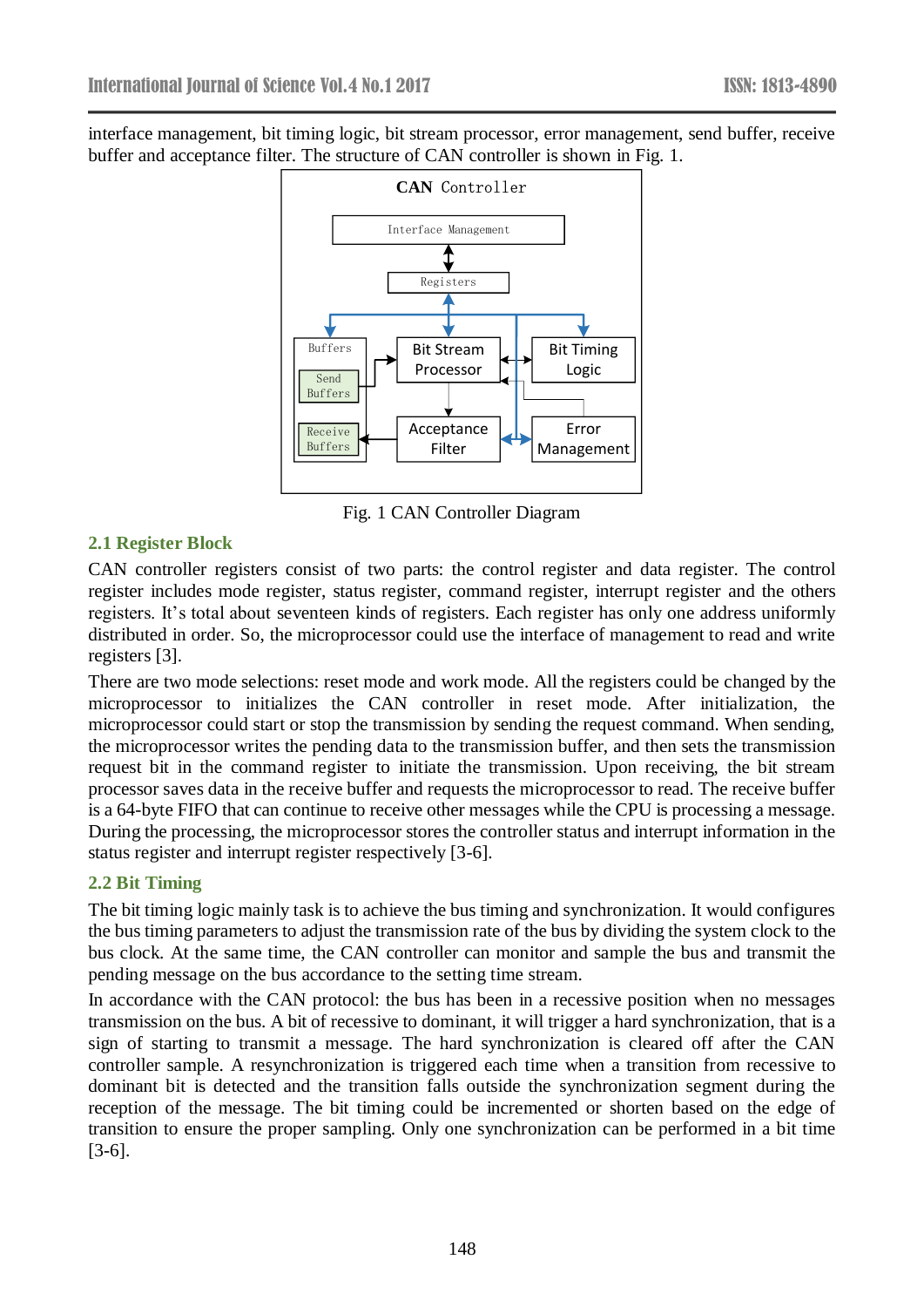interface management, bit timing logic, bit stream processor, error management, send buffer, receive buffer and acceptance filter. The structure of CAN controller is shown in Fig. 1.



Fig. 1 CAN Controller Diagram

#### **2.1 Register Block**

CAN controller registers consist of two parts: the control register and data register. The control register includes mode register, status register, command register, interrupt register and the others registers. It's total about seventeen kinds of registers. Each register has only one address uniformly distributed in order. So, the microprocessor could use the interface of management to read and write registers [3].

There are two mode selections: reset mode and work mode. All the registers could be changed by the microprocessor to initializes the CAN controller in reset mode. After initialization, the microprocessor could start or stop the transmission by sending the request command. When sending, the microprocessor writes the pending data to the transmission buffer, and then sets the transmission request bit in the command register to initiate the transmission. Upon receiving, the bit stream processor saves data in the receive buffer and requests the microprocessor to read. The receive buffer is a 64-byte FIFO that can continue to receive other messages while the CPU is processing a message. During the processing, the microprocessor stores the controller status and interrupt information in the status register and interrupt register respectively [3-6].

#### **2.2 Bit Timing**

The bit timing logic mainly task is to achieve the bus timing and synchronization. It would configures the bus timing parameters to adjust the transmission rate of the bus by dividing the system clock to the bus clock. At the same time, the CAN controller can monitor and sample the bus and transmit the pending message on the bus accordance to the setting time stream.

In accordance with the CAN protocol: the bus has been in a recessive position when no messages transmission on the bus. A bit of recessive to dominant, it will trigger a hard synchronization, that is a sign of starting to transmit a message. The hard synchronization is cleared off after the CAN controller sample. A resynchronization is triggered each time when a transition from recessive to dominant bit is detected and the transition falls outside the synchronization segment during the reception of the message. The bit timing could be incremented or shorten based on the edge of transition to ensure the proper sampling. Only one synchronization can be performed in a bit time [3-6].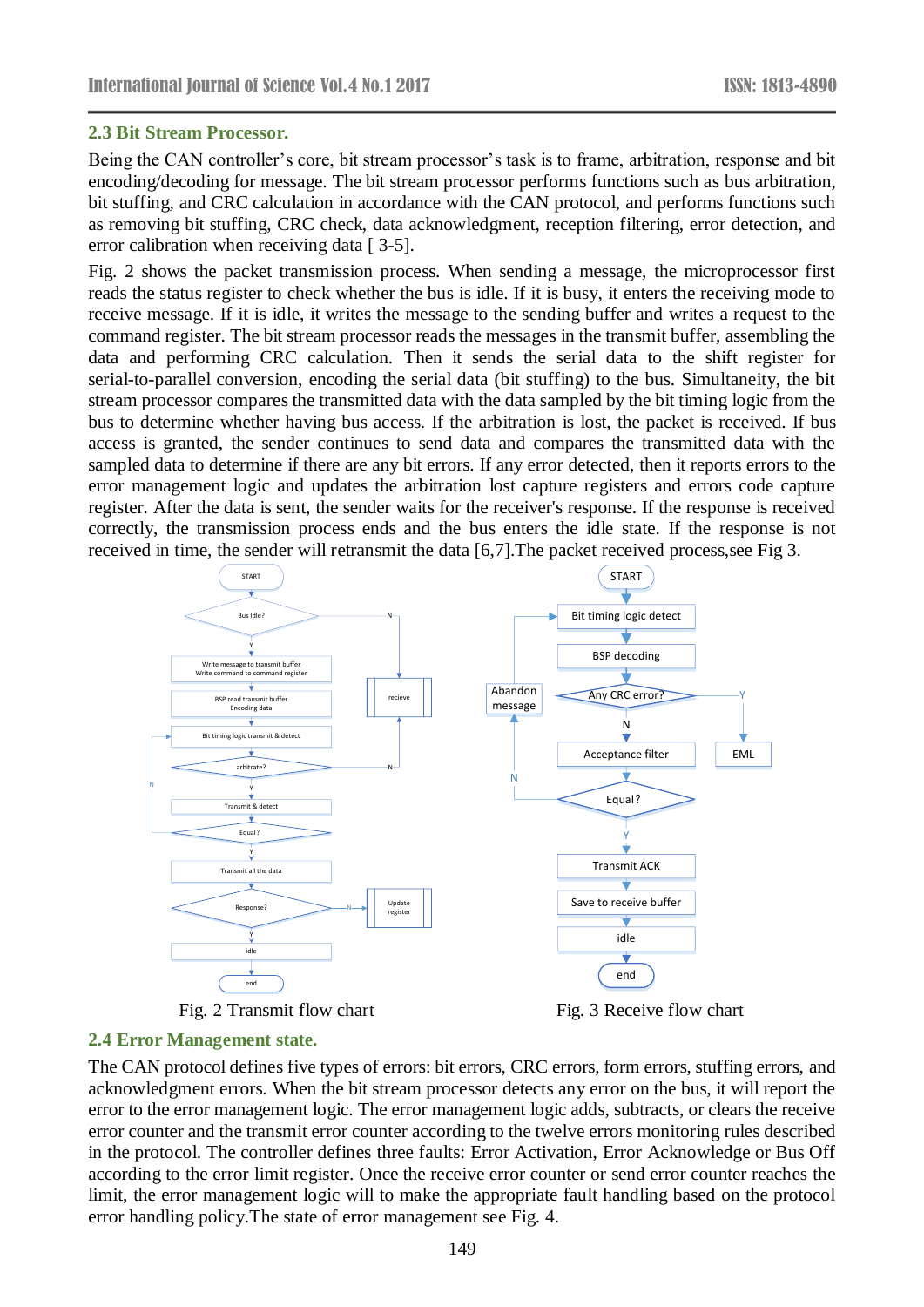#### **2.3 Bit Stream Processor.**

Being the CAN controller's core, bit stream processor's task is to frame, arbitration, response and bit encoding/decoding for message. The bit stream processor performs functions such as bus arbitration, bit stuffing, and CRC calculation in accordance with the CAN protocol, and performs functions such as removing bit stuffing, CRC check, data acknowledgment, reception filtering, error detection, and error calibration when receiving data [ 3-5].

Fig. 2 shows the packet transmission process. When sending a message, the microprocessor first reads the status register to check whether the bus is idle. If it is busy, it enters the receiving mode to receive message. If it is idle, it writes the message to the sending buffer and writes a request to the command register. The bit stream processor reads the messages in the transmit buffer, assembling the data and performing CRC calculation. Then it sends the serial data to the shift register for serial-to-parallel conversion, encoding the serial data (bit stuffing) to the bus. Simultaneity, the bit stream processor compares the transmitted data with the data sampled by the bit timing logic from the bus to determine whether having bus access. If the arbitration is lost, the packet is received. If bus access is granted, the sender continues to send data and compares the transmitted data with the sampled data to determine if there are any bit errors. If any error detected, then it reports errors to the error management logic and updates the arbitration lost capture registers and errors code capture register. After the data is sent, the sender waits for the receiver's response. If the response is received correctly, the transmission process ends and the bus enters the idle state. If the response is not received in time, the sender will retransmit the data [6,7].The packet received process,see Fig 3.



#### **2.4 Error Management state.**

The CAN protocol defines five types of errors: bit errors, CRC errors, form errors, stuffing errors, and acknowledgment errors. When the bit stream processor detects any error on the bus, it will report the error to the error management logic. The error management logic adds, subtracts, or clears the receive error counter and the transmit error counter according to the twelve errors monitoring rules described in the protocol. The controller defines three faults: Error Activation, Error Acknowledge or Bus Off according to the error limit register. Once the receive error counter or send error counter reaches the limit, the error management logic will to make the appropriate fault handling based on the protocol error handling policy.The state of error management see Fig. 4.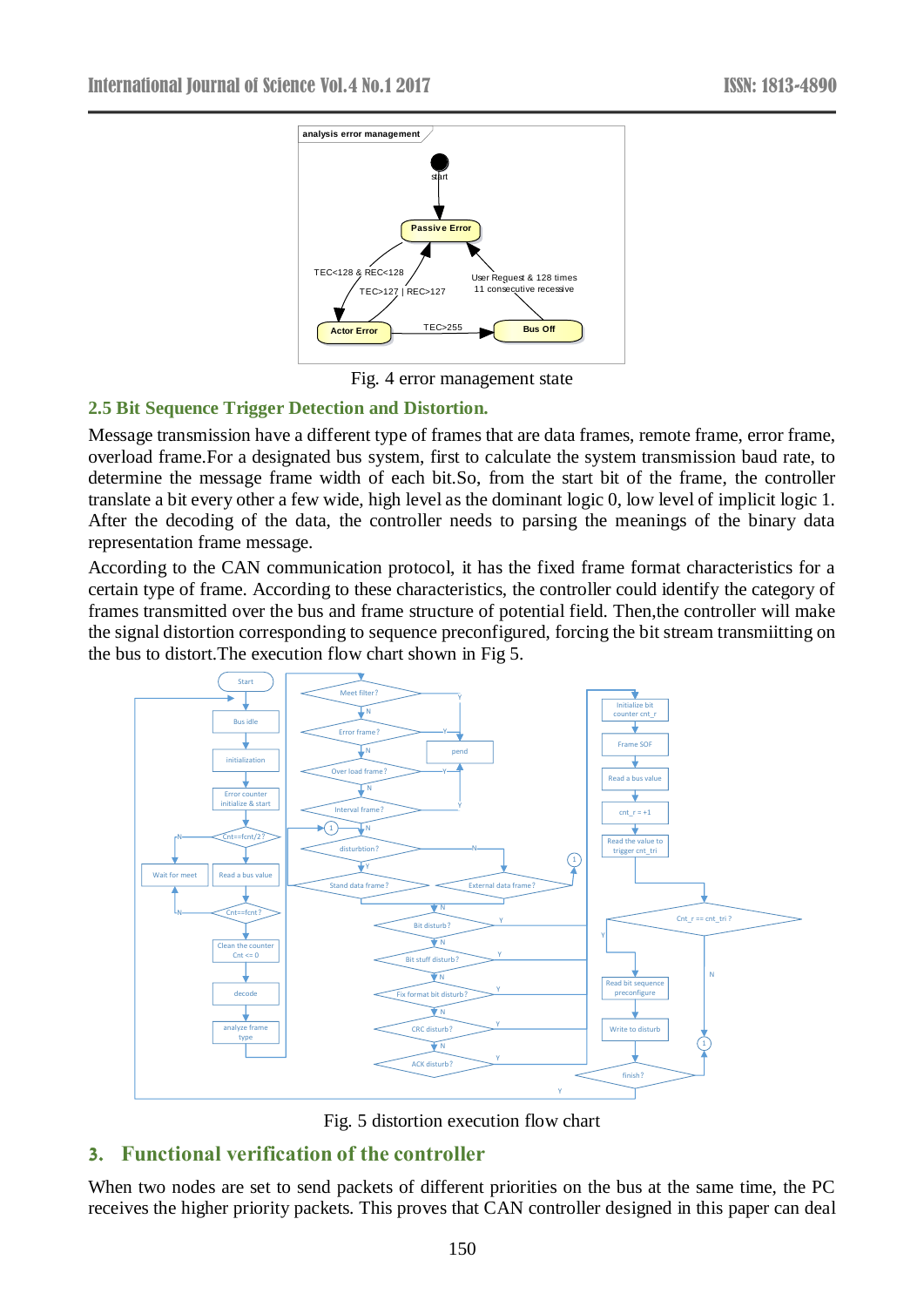

Fig. 4 error management state

#### **2.5 Bit Sequence Trigger Detection and Distortion.**

Message transmission have a different type of frames that are data frames, remote frame, error frame, overload frame.For a designated bus system, first to calculate the system transmission baud rate, to determine the message frame width of each bit.So, from the start bit of the frame, the controller translate a bit every other a few wide, high level as the dominant logic 0, low level of implicit logic 1. After the decoding of the data, the controller needs to parsing the meanings of the binary data representation frame message.

According to the CAN communication protocol, it has the fixed frame format characteristics for a certain type of frame. According to these characteristics, the controller could identify the category of frames transmitted over the bus and frame structure of potential field. Then,the controller will make the signal distortion corresponding to sequence preconfigured, forcing the bit stream transmiitting on the bus to distort.The execution flow chart shown in Fig 5.



Fig. 5 distortion execution flow chart

# **3. Functional verification of the controller**

When two nodes are set to send packets of different priorities on the bus at the same time, the PC receives the higher priority packets. This proves that CAN controller designed in this paper can deal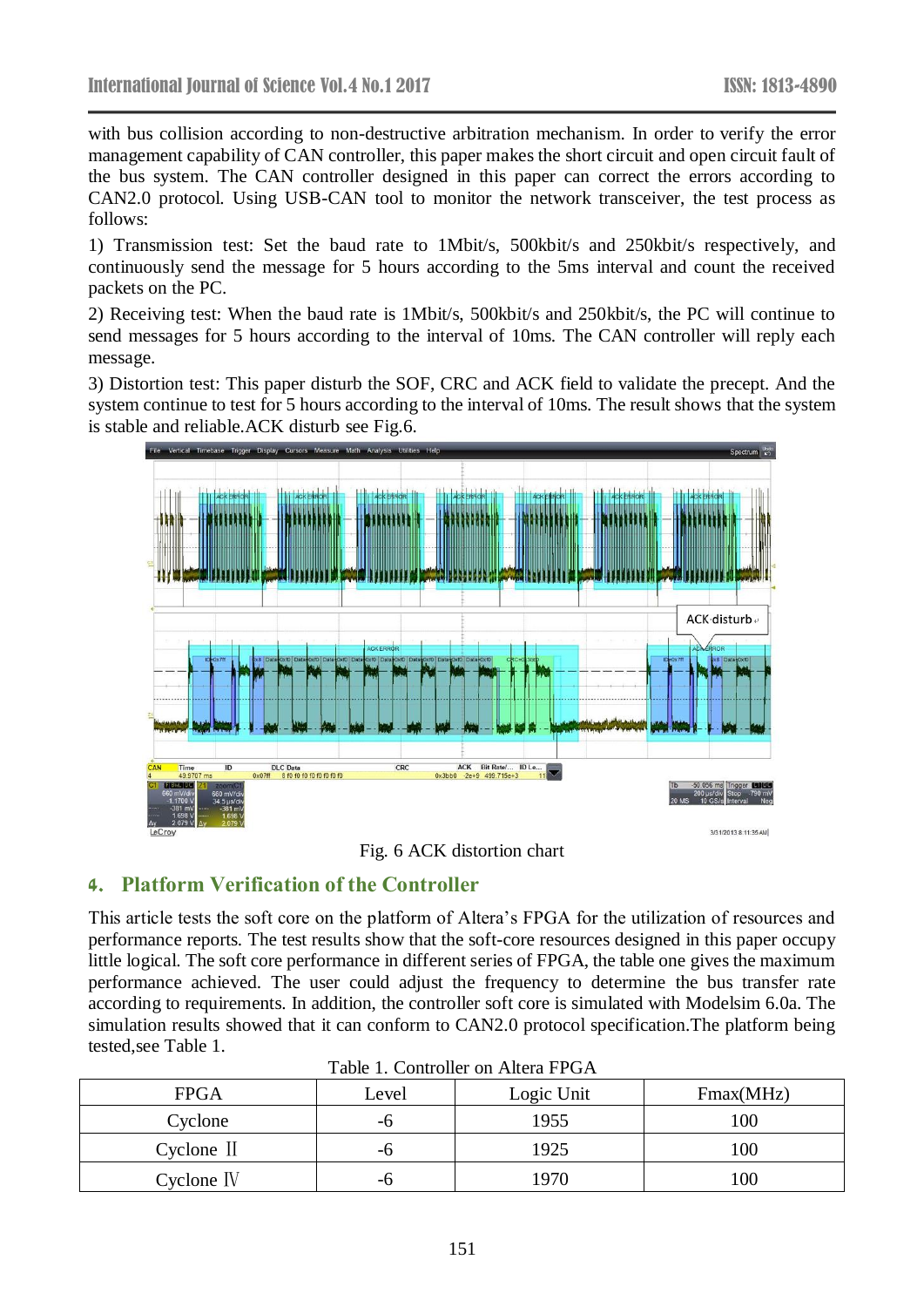with bus collision according to non-destructive arbitration mechanism. In order to verify the error management capability of CAN controller, this paper makes the short circuit and open circuit fault of the bus system. The CAN controller designed in this paper can correct the errors according to CAN2.0 protocol. Using USB-CAN tool to monitor the network transceiver, the test process as follows:

1) Transmission test: Set the baud rate to 1Mbit/s, 500kbit/s and 250kbit/s respectively, and continuously send the message for 5 hours according to the 5ms interval and count the received packets on the PC.

2) Receiving test: When the baud rate is 1Mbit/s, 500kbit/s and 250kbit/s, the PC will continue to send messages for 5 hours according to the interval of 10ms. The CAN controller will reply each message.

3) Distortion test: This paper disturb the SOF, CRC and ACK field to validate the precept. And the system continue to test for 5 hours according to the interval of 10ms. The result shows that the system is stable and reliable.ACK disturb see Fig.6.



Fig. 6 ACK distortion chart

# **4. Platform Verification of the Controller**

This article tests the soft core on the platform of Altera's FPGA for the utilization of resources and performance reports. The test results show that the soft-core resources designed in this paper occupy little logical. The soft core performance in different series of FPGA, the table one gives the maximum performance achieved. The user could adjust the frequency to determine the bus transfer rate according to requirements. In addition, the controller soft core is simulated with Modelsim 6.0a. The simulation results showed that it can conform to CAN2.0 protocol specification.The platform being tested,see Table 1.

| Tuolo II Colitionel on Thiela I I OIT |       |            |           |
|---------------------------------------|-------|------------|-----------|
| <b>FPGA</b>                           | Level | Logic Unit | Fmax(MHz) |
| Cyclone                               | -6    | 1955       | 100       |
| Cyclone II                            | -6    | 1925       | 100       |
| $C$ yclone IV                         | -6    | 1970       | 100       |

Table 1. Controller on Altera FPGA